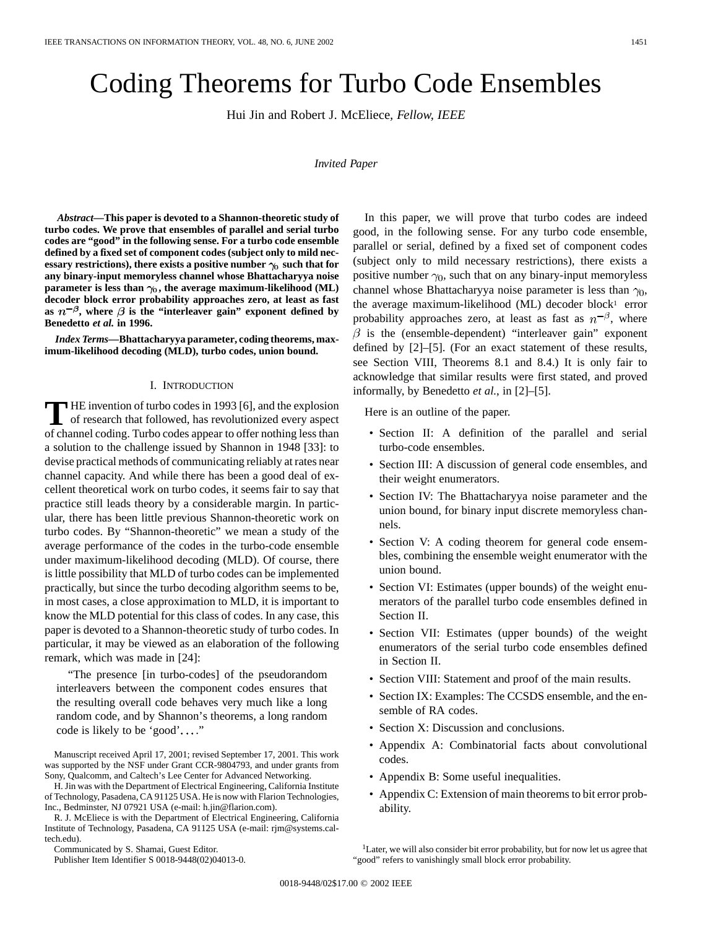# Coding Theorems for Turbo Code Ensembles

Hui Jin and Robert J. McEliece*, Fellow, IEEE*

#### *Invited Paper*

*Abstract—***This paper is devoted to a Shannon-theoretic study of turbo codes. We prove that ensembles of parallel and serial turbo codes are "good" in the following sense. For a turbo code ensemble defined by a fixed set of component codes (subject only to mild nec**essary restrictions), there exists a positive number  $\gamma_0$  such that for **any binary-input memoryless channel whose Bhattacharyya noise parameter is less than**  $\gamma_0$ , the average maximum-likelihood (ML) **decoder block error probability approaches zero, at least as fast** as  $n^{-\beta}$ , where  $\beta$  is the "interleaver gain" exponent defined by **Benedetto** *et al.* **in 1996.**

*Index Terms—***Bhattacharyya parameter, coding theorems, maximum-likelihood decoding (MLD), turbo codes, union bound.**

# I. INTRODUCTION

The invention of turbo codes in 1993 [6], and the explosion<br>of research that followed, has revolutionized every aspect<br>of shannel edging. Turbo sodes appear to effect mething less than of channel coding. Turbo codes appear to offer nothing less than a solution to the challenge issued by Shannon in 1948 [33]: to devise practical methods of communicating reliably at rates near channel capacity. And while there has been a good deal of excellent theoretical work on turbo codes, it seems fair to say that practice still leads theory by a considerable margin. In particular, there has been little previous Shannon-theoretic work on turbo codes. By "Shannon-theoretic" we mean a study of the average performance of the codes in the turbo-code ensemble under maximum-likelihood decoding (MLD). Of course, there is little possibility that MLD of turbo codes can be implemented practically, but since the turbo decoding algorithm seems to be, in most cases, a close approximation to MLD, it is important to know the MLD potential for this class of codes. In any case, this paper is devoted to a Shannon-theoretic study of turbo codes. In particular, it may be viewed as an elaboration of the following remark, which was made in [24]:

"The presence [in turbo-codes] of the pseudorandom interleavers between the component codes ensures that the resulting overall code behaves very much like a long random code, and by Shannon's theorems, a long random code is likely to be 'good'...."

Manuscript received April 17, 2001; revised September 17, 2001. This work was supported by the NSF under Grant CCR-9804793, and under grants from Sony, Qualcomm, and Caltech's Lee Center for Advanced Networking.

H. Jin was with the Department of Electrical Engineering, California Institute of Technology, Pasadena, CA 91125 USA. He is now with Flarion Technologies, Inc., Bedminster, NJ 07921 USA (e-mail: h.jin@flarion.com).

R. J. McEliece is with the Department of Electrical Engineering, California Institute of Technology, Pasadena, CA 91125 USA (e-mail: rjm@systems.caltech.edu).

Communicated by S. Shamai, Guest Editor.

Publisher Item Identifier S 0018-9448(02)04013-0.

In this paper, we will prove that turbo codes are indeed good, in the following sense. For any turbo code ensemble, parallel or serial, defined by a fixed set of component codes (subject only to mild necessary restrictions), there exists a positive number  $\gamma_0$ , such that on any binary-input memoryless channel whose Bhattacharyya noise parameter is less than  $\gamma_0$ , the average maximum-likelihood (ML) decoder block<sup>1</sup> error probability approaches zero, at least as fast as  $n^{-\beta}$ , where  $\beta$  is the (ensemble-dependent) "interleaver gain" exponent defined by [2]–[5]. (For an exact statement of these results, see Section VIII, Theorems 8.1 and 8.4.) It is only fair to acknowledge that similar results were first stated, and proved informally, by Benedetto *et al.*, in [2]–[5].

Here is an outline of the paper.

- Section II: A definition of the parallel and serial turbo-code ensembles.
- Section III: A discussion of general code ensembles, and their weight enumerators.
- Section IV: The Bhattacharyya noise parameter and the union bound, for binary input discrete memoryless channels.
- Section V: A coding theorem for general code ensembles, combining the ensemble weight enumerator with the union bound.
- Section VI: Estimates (upper bounds) of the weight enumerators of the parallel turbo code ensembles defined in Section II.
- Section VII: Estimates (upper bounds) of the weight enumerators of the serial turbo code ensembles defined in Section II.
- Section VIII: Statement and proof of the main results.
- Section IX: Examples: The CCSDS ensemble, and the ensemble of RA codes.
- Section X: Discussion and conclusions.
- Appendix A: Combinatorial facts about convolutional codes.
- Appendix B: Some useful inequalities.
- Appendix C: Extension of main theorems to bit error probability.

<sup>&</sup>lt;sup>1</sup>Later, we will also consider bit error probability, but for now let us agree that "good" refers to vanishingly small block error probability.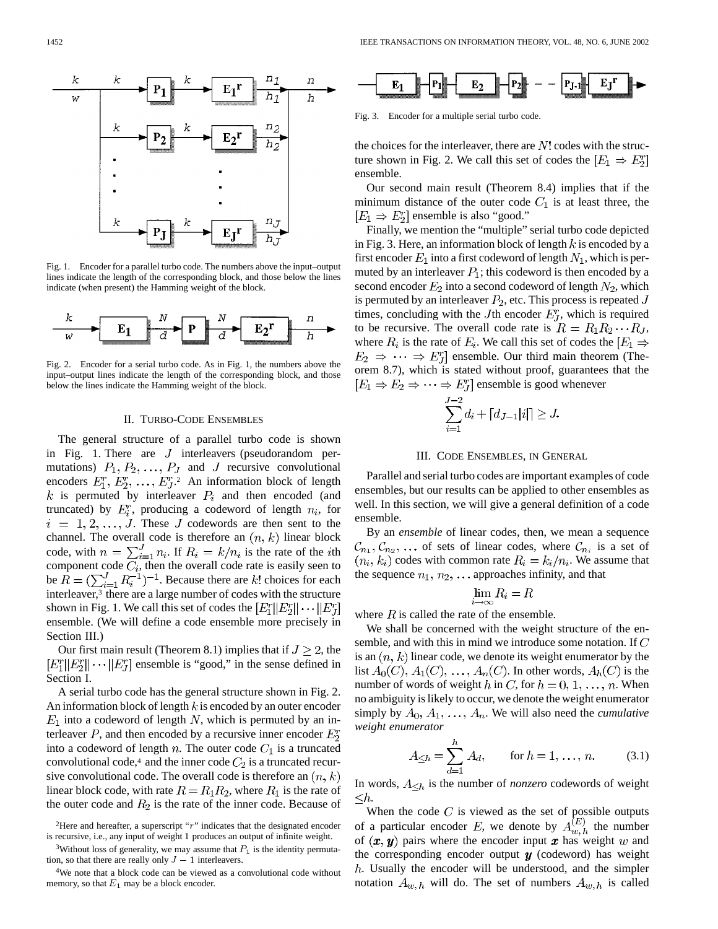

Fig. 1. Encoder for a parallel turbo code. The numbers above the input–output lines indicate the length of the corresponding block, and those below the lines indicate (when present) the Hamming weight of the block.



Fig. 2. Encoder for a serial turbo code. As in Fig. 1, the numbers above the input–output lines indicate the length of the corresponding block, and those below the lines indicate the Hamming weight of the block.

#### II. TURBO-CODE ENSEMBLES

The general structure of a parallel turbo code is shown in Fig. 1. There are  $J$  interleavers (pseudorandom permutations)  $P_1, P_2, \ldots, P_J$  and J recursive convolutional encoders  $E_1^r, E_2^r, \ldots, E_J^r$ . An information block of length  $k$  is permuted by interleaver  $P_i$  and then encoded (and truncated) by  $E_i^r$ , producing a codeword of length  $n_i$ , for  $i = 1, 2, \ldots, J$ . These J codewords are then sent to the channel. The overall code is therefore an  $(n, k)$  linear block code, with  $n = \sum_{i=1}^{J} n_i$ . If  $R_i = k/n_i$  is the rate of the *i*th component code  $C_i$ , then the overall code rate is easily seen to be  $\overline{R} = (\sum_{i=1}^{J} R_i^{-1})^{-1}$ . Because there are k! choices for each interleaver,3 there are a large number of codes with the structure shown in Fig. 1. We call this set of codes the  $[E_1^r || E_2^r || \cdots || E_n^r]$ ensemble. (We will define a code ensemble more precisely in Section III.)

Our first main result (Theorem 8.1) implies that if  $J \geq 2$ , the  $\left|E_1^r\right|\left|E_2^r\right| \cdots \left|\left|E_J^r\right|$  ensemble is "good," in the sense defined in Section I.

A serial turbo code has the general structure shown in Fig. 2. An information block of length  $k$  is encoded by an outer encoder  $E_1$  into a codeword of length N, which is permuted by an interleaver  $P$ , and then encoded by a recursive inner encoder  $E_2^r$ into a codeword of length  $n$ . The outer code  $C_1$  is a truncated convolutional code,<sup>4</sup> and the inner code  $C_2$  is a truncated recursive convolutional code. The overall code is therefore an  $(n, k)$ linear block code, with rate  $R = R_1 R_2$ , where  $R_1$  is the rate of the outer code and  $R_2$  is the rate of the inner code. Because of



Fig. 3. Encoder for a multiple serial turbo code.

the choices for the interleaver, there are  $N!$  codes with the structure shown in Fig. 2. We call this set of codes the  $[E_1 \Rightarrow E_2^r]$ ensemble.

Our second main result (Theorem 8.4) implies that if the minimum distance of the outer code  $C_1$  is at least three, the  $[E_1 \Rightarrow E_2^r]$  ensemble is also "good."

Finally, we mention the "multiple" serial turbo code depicted in Fig. 3. Here, an information block of length  $k$  is encoded by a first encoder  $E_1$  into a first codeword of length  $N_1$ , which is permuted by an interleaver  $P_1$ ; this codeword is then encoded by a second encoder  $E_2$  into a second codeword of length  $N_2$ , which is permuted by an interleaver  $P_2$ , etc. This process is repeated J times, concluding with the Jth encoder  $E_J^r$ , which is required to be recursive. The overall code rate is  $R = R_1 R_2 \cdots R_J$ , where  $R_i$  is the rate of  $E_i$ . We call this set of codes the  $|E_1 \Rightarrow$  $E_2 \Rightarrow \cdots \Rightarrow E_J^r$  ensemble. Our third main theorem (Theorem 8.7), which is stated without proof, guarantees that the  $[E_1 \Rightarrow E_2 \Rightarrow \cdots \Rightarrow E_J^r]$  ensemble is good whenever

$$
\sum_{i=1}^{J-2} d_i + [d_{J-1}|i|] \ge J.
$$

# III. CODE ENSEMBLES, IN GENERAL

Parallel and serial turbo codes are important examples of code ensembles, but our results can be applied to other ensembles as well. In this section, we will give a general definition of a code ensemble.

By an *ensemble* of linear codes, then, we mean a sequence  $\mathcal{C}_{n_1}, \mathcal{C}_{n_2}, \ldots$  of sets of linear codes, where  $\mathcal{C}_{n_i}$  is a set of  $(n_i, k_i)$  codes with common rate  $R_i = k_i/n_i$ . We assume that the sequence  $n_1, n_2, \ldots$  approaches infinity, and that

$$
\lim_{i \to \infty} R_i = R
$$

where  $R$  is called the rate of the ensemble.

We shall be concerned with the weight structure of the ensemble, and with this in mind we introduce some notation. If C is an  $(n, k)$  linear code, we denote its weight enumerator by the list  $A_0(C)$ ,  $A_1(C)$ , ...,  $A_n(C)$ . In other words,  $A_n(C)$  is the number of words of weight h in C, for  $h = 0, 1, \ldots, n$ . When no ambiguity is likely to occur, we denote the weight enumerator simply by  $A_0, A_1, \ldots, A_n$ . We will also need the *cumulative weight enumerator*

$$
A_{\leq h} = \sum_{d=1}^{h} A_d, \quad \text{for } h = 1, \dots, n.
$$
 (3.1)

In words,  $A_{\leq h}$  is the number of *nonzero* codewords of weight  $\leq h$ .

When the code  $C$  is viewed as the set of possible outputs of a particular encoder E, we denote by  $A_{n}^{(E)}$  the number of  $(x, y)$  pairs where the encoder input x has weight w and the corresponding encoder output  $y$  (codeword) has weight . Usually the encoder will be understood, and the simpler notation  $A_{w,h}$  will do. The set of numbers  $A_{w,h}$  is called

<sup>&</sup>lt;sup>2</sup>Here and hereafter, a superscript "r" indicates that the designated encoder is recursive, i.e., any input of weight 1 produces an output of infinite weight. <sup>2</sup>Here and hereafter, a superscript "r" indicates this recursive, i.e., any input of weight 1 produces an c <sup>3</sup>Without loss of generality, we may assume that *I* tion, so that there are really only  $J - 1$  interleavers.

<sup>&</sup>lt;sup>3</sup>Without loss of generality, we may assume that  $P_1$  is the identity permuta-

<sup>4</sup>We note that a block code can be viewed as a convolutional code without memory, so that  $E_1$  may be a block encoder.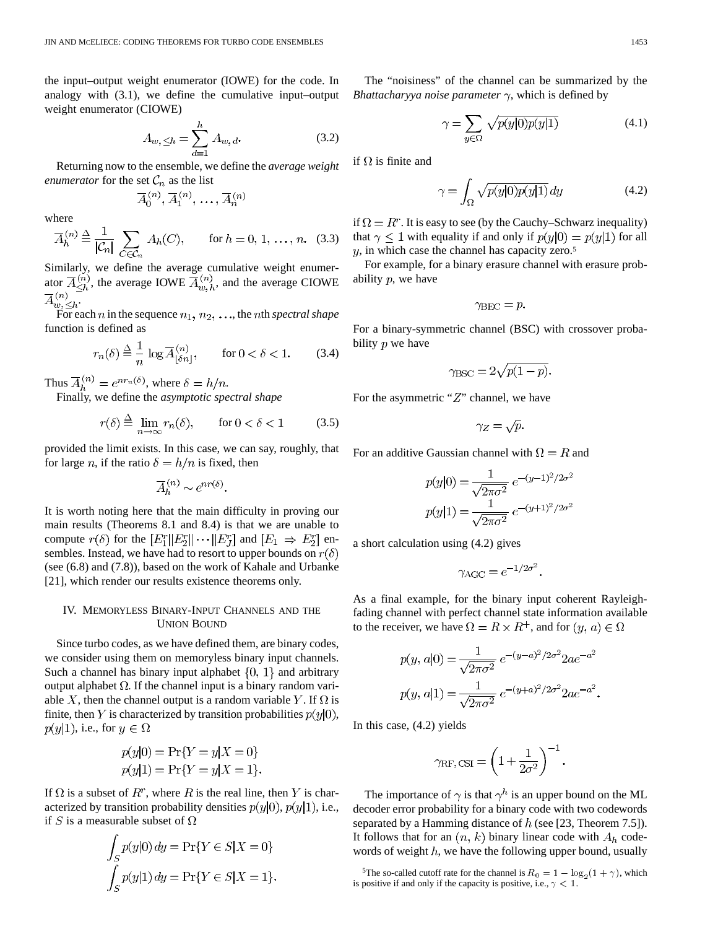the input–output weight enumerator (IOWE) for the code. In analogy with (3.1), we define the cumulative input–output weight enumerator (CIOWE)

$$
A_{w, \leq h} = \sum_{d=1}^{h} A_{w, d}.
$$
 (3.2)

Returning now to the ensemble, we define the *average weight enumerator* for the set  $C_n$  as the list

$$
\overline{A}_0^{(n)}, \overline{A}_1^{(n)}, \ldots, \overline{A}_n^{(n)}
$$

where

$$
\overline{A}_h^{(n)} \stackrel{\Delta}{=} \frac{1}{|\mathcal{C}_n|} \sum_{C \in \mathcal{C}_n} A_h(C), \qquad \text{for } h = 0, 1, \dots, n. \tag{3.3}
$$

Similarly, we define the average cumulative weight enumerator  $\overline{A}_{\leq h}^{(n)}$ , the average IOWE  $\overline{A}_{w,h}^{(n)}$ , and the average CIOWE .

For each *n* in the sequence  $n_1, n_2, \ldots$ , the *n*th *spectral shape* function is defined as

$$
r_n(\delta) \stackrel{\Delta}{=} \frac{1}{n} \log \overline{A}_{\lfloor \delta n \rfloor}^{(n)}, \qquad \text{for } 0 < \delta < 1. \tag{3.4}
$$

Thus  $\overline{A}_h^{(n)} = e^{nr_n(\delta)}$ , where  $\delta = h/n$ .

Finally, we define the *asymptotic spectral shape*

$$
r(\delta) \stackrel{\Delta}{=} \lim_{n \to \infty} r_n(\delta), \qquad \text{for } 0 < \delta < 1 \tag{3.5}
$$

provided the limit exists. In this case, we can say, roughly, that for large *n*, if the ratio  $\delta = h/n$  is fixed, then

$$
\overline{A}_h^{(n)} \sim e^{nr(\delta)}.
$$

It is worth noting here that the main difficulty in proving our main results (Theorems 8.1 and 8.4) is that we are unable to compute  $r(\delta)$  for the  $[E_1^r || E_2^r || \cdots || E_J^r]$  and  $[E_1 \Rightarrow E_2^r]$  ensembles. Instead, we have had to resort to upper bounds on  $r(\delta)$ (see (6.8) and (7.8)), based on the work of Kahale and Urbanke [21], which render our results existence theorems only.

# IV. MEMORYLESS BINARY-INPUT CHANNELS AND THE UNION BOUND

Since turbo codes, as we have defined them, are binary codes, we consider using them on memoryless binary input channels. Such a channel has binary input alphabet  $\{0, 1\}$  and arbitrary output alphabet  $\Omega$ . If the channel input is a binary random variable X, then the channel output is a random variable Y. If  $\Omega$  is finite, then Y is characterized by transition probabilities  $p(y|0)$ ,  $p(y|1)$ , i.e., for  $y \in \Omega$ 

$$
p(y|0) = Pr{Y = y|X = 0}
$$
  

$$
p(y|1) = Pr{Y = y|X = 1}
$$

If  $\Omega$  is a subset of  $R^r$ , where R is the real line, then Y is characterized by transition probability densities  $p(y|0), p(y|1)$ , i.e., if S is a measurable subset of  $\Omega$ 

$$
\int_{S} p(y|0) dy = \Pr\{Y \in S | X = 0\}
$$

$$
\int_{S} p(y|1) dy = \Pr\{Y \in S | X = 1\}.
$$

The "noisiness" of the channel can be summarized by the *Bhattacharyya noise parameter*  $\gamma$ , which is defined by

$$
\gamma = \sum_{y \in \Omega} \sqrt{p(y|0)p(y|1)} \tag{4.1}
$$

if  $\Omega$  is finite and

$$
\gamma = \int_{\Omega} \sqrt{p(y|0)p(y|1)} \, dy \tag{4.2}
$$

if  $\Omega = R^r$ . It is easy to see (by the Cauchy–Schwarz inequality) that  $\gamma \leq 1$  with equality if and only if  $p(y|0) = p(y|1)$  for all  $y$ , in which case the channel has capacity zero.<sup>5</sup>

For example, for a binary erasure channel with erasure probability  $p$ , we have

$$
\gamma_{\text{BEC}}=p.
$$

For a binary-symmetric channel (BSC) with crossover probability  $p$  we have

$$
\gamma_{\rm BSC} = 2\sqrt{p(1-p)}.
$$

For the asymmetric " $Z$ " channel, we have

$$
\gamma_Z = \sqrt{p}
$$

For an additive Gaussian channel with  $\Omega = R$  and

$$
p(y|0) = \frac{1}{\sqrt{2\pi\sigma^2}} e^{-(y-1)^2/2\sigma^2}
$$

$$
p(y|1) = \frac{1}{\sqrt{2\pi\sigma^2}} e^{-(y+1)^2/2\sigma^2}
$$

a short calculation using (4.2) gives

$$
\gamma_{\text{AGC}} = e^{-1/2\sigma^2}.
$$

As a final example, for the binary input coherent Rayleighfading channel with perfect channel state information available to the receiver, we have  $\Omega = R \times R^+$ , and for  $(y, a) \in \Omega$ 

$$
p(y, a|0) = \frac{1}{\sqrt{2\pi\sigma^2}} e^{-(y-a)^2/2\sigma^2} 2ae^{-a^2}
$$
  

$$
p(y, a|1) = \frac{1}{\sqrt{2\pi\sigma^2}} e^{-(y+a)^2/2\sigma^2} 2ae^{-a^2}.
$$

In this case, (4.2) yields

$$
\gamma_{\rm RF,CSI} = \left(1 + \frac{1}{2\sigma^2}\right)^{-1}.
$$

The importance of  $\gamma$  is that  $\gamma^h$  is an upper bound on the ML decoder error probability for a binary code with two codewords separated by a Hamming distance of  $h$  (see [23, Theorem 7.5]). It follows that for an  $(n, k)$  binary linear code with  $A<sub>h</sub>$  codewords of weight  $h$ , we have the following upper bound, usually follows that for an  $(n, k)$  binary linear code with  $A_h$  code-<br>ords of weight h, we have the following upper bound, usually<br><sup>5</sup>The so-called cutoff rate for the channel is  $R_0 = 1 - \log_2(1 + \gamma)$ , which

is positive if and only if the capacity is positive, i.e.,  $\gamma < 1$ .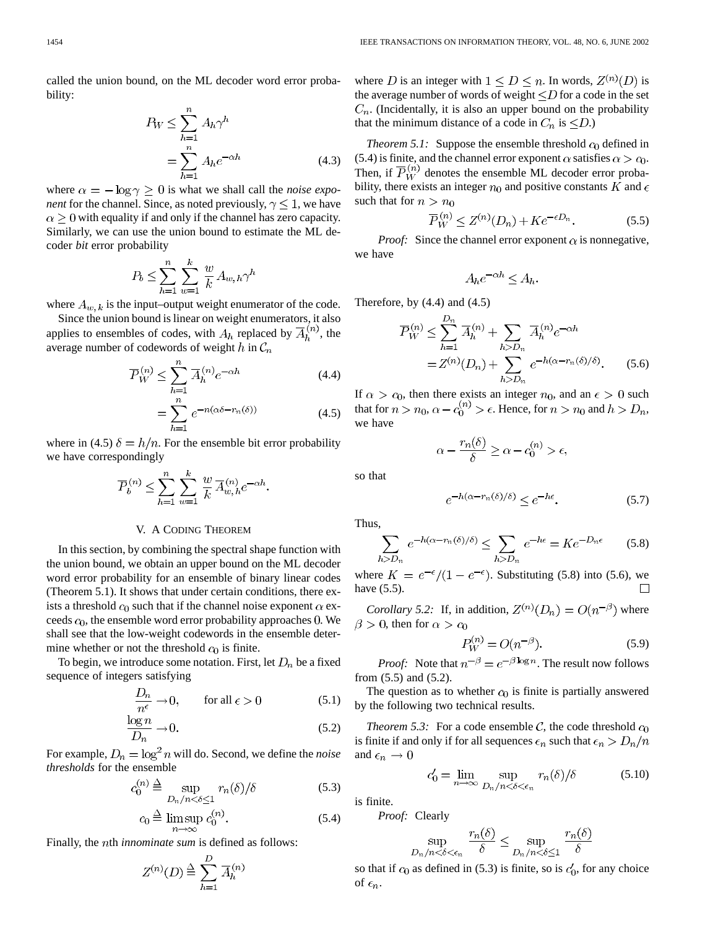called the union bound, on the ML decoder word error probability:

$$
P_W \le \sum_{h=1}^n A_h \gamma^h
$$
  
= 
$$
\sum_{h=1}^n A_h e^{-\alpha h}
$$
 (4.3)

where  $\alpha = -\log \gamma \geq 0$  is what we shall call the *noise exponent* for the channel. Since, as noted previously,  $\gamma \leq 1$ , we have  $\alpha \geq 0$  with equality if and only if the channel has zero capacity. Similarly, we can use the union bound to estimate the ML decoder *bit* error probability

$$
P_b \le \sum_{h=1}^n \sum_{w=1}^k \frac{w}{k} A_{w,h} \gamma^h
$$

where  $A_{w,k}$  is the input–output weight enumerator of the code.

Since the union bound is linear on weight enumerators, it also applies to ensembles of codes, with  $A_h$  replaced by  $\overline{A}_h^{(n)}$ , the average number of codewords of weight  $h$  in  $C_n$ 

$$
\overline{P}_W^{(n)} \le \sum_{h=1}^n \overline{A}_h^{(n)} e^{-\alpha h}
$$
\n
$$
= \sum_{h=1}^n e^{-n(\alpha \delta - r_n(\delta))}
$$
\n(4.5)

where in (4.5)  $\delta = h/n$ . For the ensemble bit error probability we have correspondingly

 $\overline{h=1}$ 

$$
\overline{P}_b^{(n)} \le \sum_{h=1}^n \sum_{w=1}^k \frac{w}{k} \, \overline{A}_{w,h}^{(n)} e^{-\alpha h}.
$$

# V. A CODING THEOREM

In this section, by combining the spectral shape function with the union bound, we obtain an upper bound on the ML decoder word error probability for an ensemble of binary linear codes (Theorem 5.1). It shows that under certain conditions, there exists a threshold  $c_0$  such that if the channel noise exponent  $\alpha$  exceeds  $c_0$ , the ensemble word error probability approaches 0. We shall see that the low-weight codewords in the ensemble determine whether or not the threshold  $c_0$  is finite.

To begin, we introduce some notation. First, let  $D_n$  be a fixed sequence of integers satisfying

$$
\frac{D_n}{n^{\epsilon}} \to 0, \qquad \text{for all } \epsilon > 0 \tag{5.1}
$$

$$
\frac{\log n}{D_n} \to 0. \tag{5.2}
$$

For example,  $D_n = \log^2 n$  will do. Second, we define the *noise thresholds* for the ensemble

$$
c_0^{(n)} \stackrel{\Delta}{=} \sup_{D_n/n < \delta \le 1} r_n(\delta) / \delta \tag{5.3}
$$

$$
c_0 \stackrel{\Delta}{=} \limsup_{n \to \infty} c_0^{(n)}.
$$
 (5.4)

Finally, the *n*th *innominate sum* is defined as follows:

$$
Z^{(n)}(D) \stackrel{\Delta}{=} \sum_{h=1}^{D} \overline{A}_{h}^{(n)}
$$

where D is an integer with  $1 \leq D \leq n$ . In words,  $Z^{(n)}(D)$  is the average number of words of weight  $\leq D$  for a code in the set  $C_n$ . (Incidentally, it is also an upper bound on the probability that the minimum distance of a code in  $C_n$  is  $\leq D$ .)

*Theorem 5.1:* Suppose the ensemble threshold  $c_0$  defined in (5.4) is finite, and the channel error exponent  $\alpha$  satisfies  $\alpha > c_0$ . Then, if  $\overline{P}_W^{(n)}$  denotes the ensemble ML decoder error probability, there exists an integer  $n_0$  and positive constants K and  $\epsilon$ such that for  $n > n_0$ 

$$
\overline{P}_W^{(n)} \le Z^{(n)}(D_n) + Ke^{-\epsilon D_n}.\tag{5.5}
$$

*Proof:* Since the channel error exponent  $\alpha$  is nonnegative, we have

$$
A_h e^{-\alpha h} \le A_h
$$

Therefore, by  $(4.4)$  and  $(4.5)$ 

$$
\overline{P}_{W}^{(n)} \leq \sum_{h=1}^{D_{n}} \overline{A}_{h}^{(n)} + \sum_{h>D_{n}} \overline{A}_{h}^{(n)} e^{-\alpha h}
$$

$$
= Z^{(n)}(D_{n}) + \sum_{h>D_{n}} e^{-h(\alpha - r_{n}(\delta)/\delta)}.
$$
(5.6)

If  $\alpha > c_0$ , then there exists an integer  $n_0$ , and an  $\epsilon > 0$  such that for  $n > n_0$ ,  $\alpha - c_0^{(n)} > \epsilon$ . Hence, for  $n > n_0$  and  $h > D_n$ , we have

$$
\alpha - \frac{r_n(\delta)}{\delta} \ge \alpha - c_0^{(n)} > \epsilon,
$$

so that

$$
e^{-h(\alpha - r_n(\delta)/\delta)} \le e^{-h\epsilon}.\tag{5.7}
$$

Thus,

$$
\sum_{h>D_n} e^{-h(\alpha - r_n(\delta)/\delta)} \le \sum_{h>D_n} e^{-h\epsilon} = Ke^{-D_n\epsilon} \qquad (5.8)
$$

where  $K = e^{-\epsilon}/(1 - e^{-\epsilon})$ . Substituting (5.8) into (5.6), we have (5.5).

*Corollary 5.2:* If, in addition,  $Z^{(n)}(D_n) = O(n^{-\beta})$  where  $\beta > 0$ , then for  $\alpha > c_0$ 

$$
P_W^{(n)} = O(n^{-\beta}).
$$
\n(5.9)

*Proof:* Note that  $n^{-\beta} = e^{-\beta \log n}$ . The result now follows from (5.5) and (5.2).

The question as to whether  $c_0$  is finite is partially answered by the following two technical results.

*Theorem 5.3:* For a code ensemble C, the code threshold  $c_0$ is finite if and only if for all sequences  $\epsilon_n$  such that  $\epsilon_n > D_n/n$ and  $\epsilon_n \to 0$ 

$$
c'_0 = \lim_{n \to \infty} \sup_{D_n/n < \delta < \epsilon_n} r_n(\delta) / \delta \tag{5.10}
$$

is finite.

*Proof:* Clearly

 $D_{i}$ 

$$
\sup_{n/n < \delta < \epsilon_n} \frac{r_n(\delta)}{\delta} \le \sup_{D_n/n < \delta \le 1} \frac{r_n(\delta)}{\delta}
$$

so that if  $c_0$  as defined in (5.3) is finite, so is  $c'_0$ , for any choice of  $\epsilon_n$ .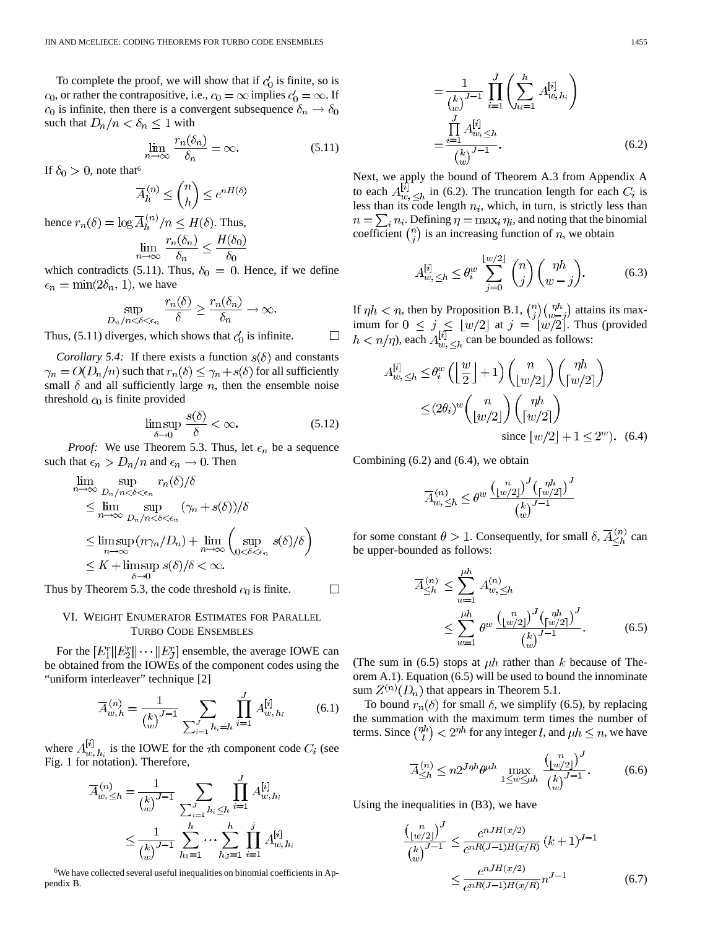To complete the proof, we will show that if  $c'_0$  is finite, so is  $c_0$ , or rather the contrapositive, i.e.,  $c_0 = \infty$  implies  $c'_0 = \infty$ . If  $c_0$  is infinite, then there is a convergent subsequence  $\delta_n \to \delta_0$ such that  $D_n/n < \delta_n \leq 1$  with

$$
\lim_{n \to \infty} \frac{r_n(\delta_n)}{\delta_n} = \infty.
$$
\n(5.11)

If  $\delta_0 > 0$ , note that<sup>6</sup>

$$
\overline{A}_h^{(n)} \le \binom{n}{h} \le e^{nH(\delta)}
$$

hence  $r_n(\delta) = \log \overline{A}_h^{(n)}/n \leq H(\delta)$ . Thus,  $\lim_{n\to\infty}\frac{r_n(\delta_n)}{\delta_n}\leq \frac{H(\delta_0)}{\delta_0}$ 

which contradicts (5.11). Thus,  $\delta_0 = 0$ . Hence, if we define  $\epsilon_n = \min(2\delta_n, 1)$ , we have

$$
\sup_{D_n/n < \delta < \epsilon_n} \frac{r_n(\delta)}{\delta} \ge \frac{r_n(\delta_n)}{\delta_n} \to \infty.
$$

Thus, (5.11) diverges, which shows that  $c'_0$  is infinite.

*Corollary 5.4:* If there exists a function  $s(\delta)$  and constants  $\gamma_n = O(D_n/n)$  such that  $r_n(\delta) \leq \gamma_n + s(\delta)$  for all sufficiently small  $\delta$  and all sufficiently large  $n$ , then the ensemble noise threshold  $c<sub>0</sub>$  is finite provided

$$
\limsup_{\delta \to 0} \frac{s(\delta)}{\delta} < \infty. \tag{5.12}
$$

 $\Box$ 

 $\Box$ 

*Proof:* We use Theorem 5.3. Thus, let  $\epsilon_n$  be a sequence such that  $\epsilon_n > D_n/n$  and  $\epsilon_n \to 0$ . Then

$$
\lim_{n \to \infty} \sup_{D_n/n < \delta < \epsilon_n} r_n(\delta) / \delta
$$
\n
$$
\leq \lim_{n \to \infty} \sup_{D_n/n < \delta < \epsilon_n} (\gamma_n + s(\delta)) / \delta
$$
\n
$$
\leq \limsup_{n \to \infty} (n\gamma_n / D_n) + \lim_{n \to \infty} \left( \sup_{0 < \delta < \epsilon_n} s(\delta) / \delta \right)
$$
\n
$$
\leq K + \limsup_{\delta \to 0} s(\delta) / \delta < \infty.
$$

Thus by Theorem 5.3, the code threshold  $c_0$  is finite.

# VI. WEIGHT ENUMERATOR ESTIMATES FOR PARALLEL TURBO CODE ENSEMBLES

For the  $[E_1^r || E_2^r || \cdots || E_J^r]$  ensemble, the average IOWE can be obtained from the IOWEs of the component codes using the "uniform interleaver" technique [2]

$$
\overline{A}_{w,h}^{(n)} = \frac{1}{\binom{k}{w}^{J-1}} \sum_{\sum_{i=1}^{J} h_i = h} \prod_{i=1}^{J} A_{w,h_i}^{[i]} \tag{6.1}
$$

where  $A_{w, h_i}^{[i]}$  is the IOWE for the *i*th component code  $C_i$  (see Fig. 1 for notation). Therefore,

$$
\overline{A}_{w,\leq h}^{(n)} = \frac{1}{\binom{k}{w}} \sum_{j=1}^{J} \prod_{h_i \leq h}^{j} A_{w,h_i}^{[i]} \\
\leq \frac{1}{\binom{k}{w}} \sum_{j=1}^{h} \sum_{h_1=1}^{j} \cdots \sum_{h_J=1}^{h} \prod_{i=1}^{j} A_{w,h_i}^{[i]} \\
\leq \frac{1}{\binom{k}{w}} \sum_{j=1}^{h} \sum_{h_1=1}^{j} \sum_{i=1}^{j} \prod_{j=1}^{j} A_{w,h_i}^{[i]}
$$

6We have collected several useful inequalities on binomial coefficients in Appendix B.

$$
= \frac{1}{\binom{k}{w}} \prod_{i=1}^{J} \left( \sum_{h_i=1}^{h} A_{w, h_i}^{[i]} \right)
$$

$$
= \frac{\prod_{i=1}^{J} A_{w, \leq h}^{[i]}}{\binom{k}{w}}.
$$
(6.2)

Next, we apply the bound of Theorem A.3 from Appendix A to each  $A_{w, \langle h \rangle}^{[i]}$  in (6.2). The truncation length for each  $C_i$  is less than its code length  $n_i$ , which, in turn, is strictly less than  $n = \sum_i n_i$ . Defining  $\eta = \max_i \eta_i$ , and noting that the binomial coefficient  $\binom{n}{i}$  is an increasing function of *n*, we obtain

$$
A_{w,\leq h}^{[i]} \leq \theta_i^w \sum_{j=0}^{\lfloor w/2 \rfloor} \binom{n}{j} \binom{\eta h}{w-j}.
$$
 (6.3)

If  $\eta h < n$ , then by Proposition B.1,  $\binom{n}{i}\binom{\eta h}{w-i}$  attains its maximum for  $0 \leq j \leq |w/2|$  at  $j = |w/2|$ . Thus (provided ), each  $A_{m}^{[i]}$   $\leq_h$  can be bounded as follows:

$$
4_w^{[i]} \le h \le \theta_i^w \left( \left\lfloor \frac{w}{2} \right\rfloor + 1 \right) {n \choose \lfloor w/2 \rfloor} {n h \choose \lceil w/2 \rceil}
$$
  
 
$$
\le (2\theta_i)^w {n \choose \lfloor w/2 \rfloor} {n h \choose \lceil w/2 \rceil}
$$
  
since  $\lfloor w/2 \rfloor + 1 \le 2^w$ ). (6.4)

Combining (6.2) and (6.4), we obtain

$$
\overline{A}_{w,\leq h}^{(n)} \leq \theta^w \frac{\binom{n}{\lfloor w/2 \rfloor}^J \binom{\eta h}{\lceil w/2 \rceil}^J}{\binom{k}{w}^{J-1}}
$$

for some constant  $\theta > 1$ . Consequently, for small  $\delta$ ,  $\overline{A}_{\leq h}^{(n)}$  can be upper-bounded as follows:

$$
\overline{A}_{\leq h}^{(n)} \leq \sum_{w=1}^{\mu h} A_{w, \leq h}^{(n)} \n\leq \sum_{w=1}^{\mu h} \theta^w \frac{\left(\frac{n}{\lfloor w/2 \rfloor}\right)^J \left(\frac{\eta h}{\lfloor w/2 \rfloor}\right)^J}{\binom{h}{w}^{J-1}}.
$$
\n(6.5)

(The sum in (6.5) stops at  $\mu h$  rather than k because of Theorem A.1). Equation (6.5) will be used to bound the innominate sum  $Z^{(n)}(D_n)$  that appears in Theorem 5.1.

To bound  $r_n(\delta)$  for small  $\delta$ , we simplify (6.5), by replacing the summation with the maximum term times the number of terms. Since  $\binom{\eta h}{l} < 2^{\eta h}$  for any integer l, and  $\mu h \leq n$ , we have

$$
\overline{A}_{\leq h}^{(n)} \leq n 2^{J \eta h} \theta^{\mu h} \max_{1 \leq w \leq \mu h} \frac{\binom{n}{\lfloor w/2 \rfloor}^J}{\binom{k}{w}^{J-1}}.
$$
 (6.6)

Using the inequalities in (B3), we have

$$
\frac{\binom{n}{\lfloor w/2 \rfloor}^j}{\binom{k}{w}} \le \frac{e^{nJH(x/2)}}{e^{nR(J-1)H(x/R)}} (k+1)^{J-1}
$$

$$
\le \frac{e^{nJH(x/2)}}{e^{nR(J-1)H(x/R)}} n^{J-1} \tag{6.7}
$$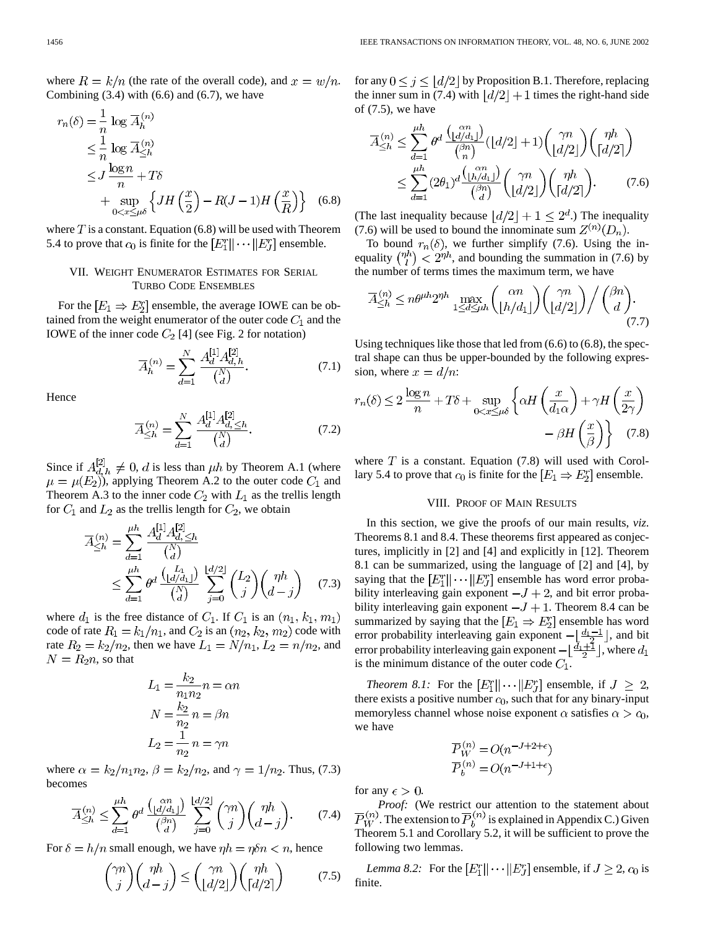where  $R = k/n$  (the rate of the overall code), and  $x = w/n$ . Combining  $(3.4)$  with  $(6.6)$  and  $(6.7)$ , we have

$$
r_n(\delta) = \frac{1}{n} \log \overline{A}_h^{(n)}
$$
  
\n
$$
\leq \frac{1}{n} \log \overline{A}_{\leq h}^{(n)}
$$
  
\n
$$
\leq J \frac{\log n}{n} + T\delta
$$
  
\n
$$
+ \sup_{0 < x \leq \mu \delta} \left\{ JH\left(\frac{x}{2}\right) - R(J-1)H\left(\frac{x}{R}\right) \right\} \quad (6.8)
$$

where  $T$  is a constant. Equation (6.8) will be used with Theorem 5.4 to prove that  $c_0$  is finite for the  $[E_1^r || \cdots || E_J^r]$  ensemble.

# VII. WEIGHT ENUMERATOR ESTIMATES FOR SERIAL TURBO CODE ENSEMBLES

For the  $[E_1 \Rightarrow E_2^r]$  ensemble, the average IOWE can be obtained from the weight enumerator of the outer code  $C_1$  and the IOWE of the inner code  $C_2$  [4] (see Fig. 2 for notation)

$$
\overline{A}_h^{(n)} = \sum_{d=1}^N \frac{A_d^{[1]} A_{d,h}^{[2]}}{\binom{N}{d}}.
$$
\n(7.1)

Hence

$$
\overline{A}_{\leq h}^{(n)} = \sum_{d=1}^{N} \frac{A_d^{[1]} A_{d,\leq h}^{[2]}}{\binom{N}{d}}.
$$
\n(7.2)

Since if  $A_{d,h}^{[2]} \neq 0$ , d is less than  $\mu h$  by Theorem A.1 (where  $\mu = \mu(E_2)$ , applying Theorem A.2 to the outer code  $C_1$  and Theorem A.3 to the inner code  $C_2$  with  $L_1$  as the trellis length for  $C_1$  and  $L_2$  as the trellis length for  $C_2$ , we obtain

$$
\overline{A}_{\leq h}^{(n)} = \sum_{d=1}^{\mu h} \frac{A_d^{[1]} A_{d, \leq h}^{[2]}}{\binom{N}{d}} \n\leq \sum_{d=1}^{\mu h} \theta^d \frac{\binom{L_1}{d} \binom{L_2}{d}}{\binom{N}{d}} \sum_{j=0}^{\lfloor d/2 \rfloor} \binom{L_2}{j} {\binom{\eta h}{d-j}} \tag{7.3}
$$

where  $d_1$  is the free distance of  $C_1$ . If  $C_1$  is an  $(n_1, k_1, m_1)$ code of rate  $R_1 = k_1/n_1$ , and  $C_2$  is an  $(n_2, k_2, m_2)$  code with rate  $R_2 = k_2/n_2$ , then we have  $L_1 = N/n_1$ ,  $L_2 = n/n_2$ , and  $N = R_2 n$ , so that

$$
L_1 = \frac{k_2}{n_1 n_2} n = \alpha n
$$

$$
N = \frac{k_2}{n_2} n = \beta n
$$

$$
L_2 = \frac{1}{n_2} n = \gamma n
$$

where  $\alpha = k_2/n_1 n_2$ ,  $\beta = k_2/n_2$ , and  $\gamma = 1/n_2$ . Thus, (7.3) becomes

$$
\overline{A}_{\leq h}^{(n)} \leq \sum_{d=1}^{\mu h} \theta^d \frac{\binom{\alpha n}{\lfloor d/d_1 \rfloor}}{\binom{\beta n}{d}} \sum_{j=0}^{\lfloor d/2 \rfloor} \binom{\gamma n}{j} \binom{\eta h}{d-j}.
$$
 (7.4)

For  $\delta = h/n$  small enough, we have  $\eta h = n\delta n < n$ , hence

$$
\binom{\gamma n}{j} \binom{\eta h}{d-j} \le \binom{\gamma n}{\lfloor d/2 \rfloor} \binom{\eta h}{\lceil d/2 \rceil} \tag{7.5}
$$

for any  $0 \le j \le |d/2|$  by Proposition B.1. Therefore, replacing the inner sum in (7.4) with  $\left| d/2 \right| + 1$  times the right-hand side of  $(7.5)$ , we have

$$
\overline{A}_{\leq h}^{(n)} \leq \sum_{d=1}^{\mu h} \theta^d \frac{\binom{\alpha n}{\lfloor d/d_1 \rfloor}}{\binom{\beta n}{n}} (\lfloor d/2 \rfloor + 1) \binom{\gamma n}{\lfloor d/2 \rfloor} \binom{\eta h}{\lceil d/2 \rceil} \n\leq \sum_{d=1}^{\mu h} (2\theta_1)^d \frac{\binom{\alpha n}{\lfloor h/d_1 \rfloor}}{\binom{\beta n}{d}} \binom{\gamma n}{\lfloor d/2 \rfloor} \binom{\eta h}{\lceil d/2 \rceil}. \tag{7.6}
$$

(The last inequality because  $|d/2| + 1 \leq 2^d$ .) The inequality (7.6) will be used to bound the innominate sum  $Z^{(n)}(D_n)$ .

To bound  $r_n(\delta)$ , we further simplify (7.6). Using the inequality  $\binom{\eta h}{l} < 2^{\eta h}$ , and bounding the summation in (7.6) by the number of terms times the maximum term, we have

$$
\overline{A}_{\leq h}^{(n)} \leq n\theta^{\mu h}2^{\eta h} \max_{1 \leq d \leq \mu h} \binom{\alpha n}{\lfloor h/d_1 \rfloor} \binom{\gamma n}{\lfloor d/2 \rfloor} / \binom{\beta n}{d}.
$$
\n(7.7)

Using techniques like those that led from (6.6) to (6.8), the spectral shape can thus be upper-bounded by the following expression, where  $x = d/n$ :

$$
r_n(\delta) \le 2 \frac{\log n}{n} + T\delta + \sup_{0 < x \le \mu\delta} \left\{ \alpha H\left(\frac{x}{d_1\alpha}\right) + \gamma H\left(\frac{x}{2\gamma}\right) - \beta H\left(\frac{x}{\beta}\right) \right\} \tag{7.8}
$$

where  $T$  is a constant. Equation (7.8) will used with Corollary 5.4 to prove that  $c_0$  is finite for the  $[E_1 \Rightarrow E_2^r]$  ensemble.

# VIII. PROOF OF MAIN RESULTS

In this section, we give the proofs of our main results, *viz*. Theorems 8.1 and 8.4. These theorems first appeared as conjectures, implicitly in [2] and [4] and explicitly in [12]. Theorem 8.1 can be summarized, using the language of [2] and [4], by saying that the  $[E_1^r || \cdots || E_J^r]$  ensemble has word error probability interleaving gain exponent  $-J+2$ , and bit error probability interleaving gain exponent  $-J+1$ . Theorem 8.4 can be summarized by saying that the  $[E_1 \Rightarrow E_2^r]$  ensemble has word error probability interleaving gain exponent  $-\lfloor \frac{d_1-1}{2} \rfloor$ , and bit error probability interleaving gain exponent  $-\lfloor \frac{d_1+1}{2} \rfloor$ , where  $d_1$ is the minimum distance of the outer code  $C_1$ .

*Theorem 8.1:* For the  $[E_1^r || \cdots || E_J^r]$  ensemble, if  $J \geq 2$ , there exists a positive number  $c_0$ , such that for any binary-input memoryless channel whose noise exponent  $\alpha$  satisfies  $\alpha > c_0$ , we have

$$
\overline{P}_W^{(n)} = O(n^{-J+2+\epsilon})
$$

$$
\overline{P}_h^{(n)} = O(n^{-J+1+\epsilon})
$$

for any  $\epsilon > 0$ .

*Proof:* (We restrict our attention to the statement about  $\overline{P}_{W}^{(n)}$ . The extension to  $\overline{P}_{b}^{(n)}$  is explained in Appendix C.) Given Theorem 5.1 and Corollary 5.2, it will be sufficient to prove the following two lemmas.

*Lemma 8.2:* For the  $[E_1^r || \cdots || E_J^r]$  ensemble, if  $J \geq 2$ ,  $c_0$  is finite.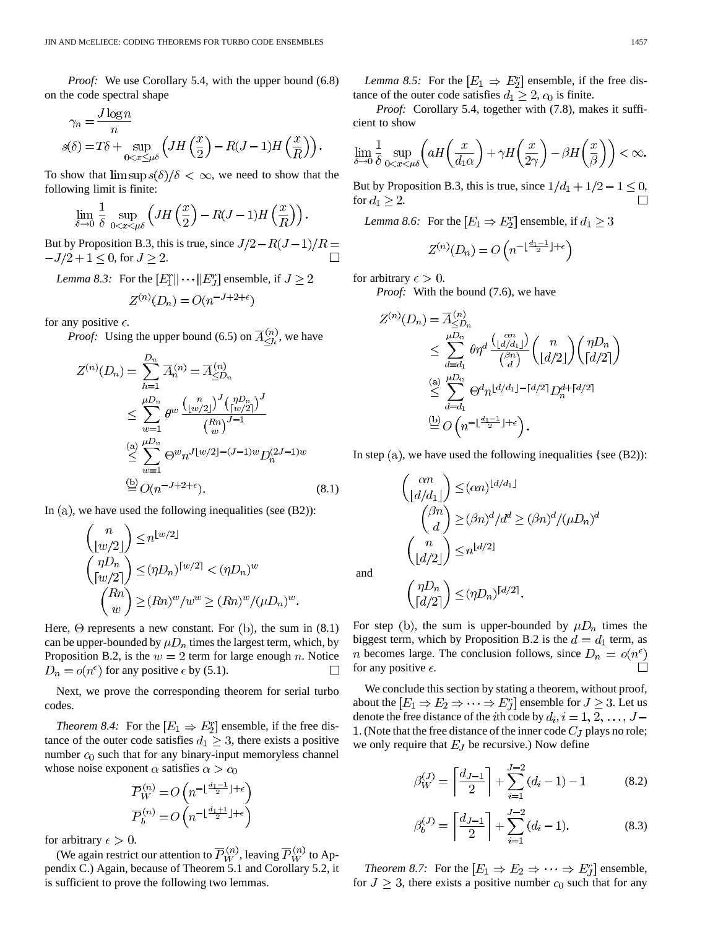*Proof:* We use Corollary 5.4, with the upper bound (6.8) on the code spectral shape

$$
\gamma_n = \frac{J \log n}{n}
$$
  

$$
s(\delta) = T\delta + \sup_{0 < x \leq \mu \delta} \left( JH\left(\frac{x}{2}\right) - R(J-1)H\left(\frac{x}{R}\right) \right).
$$

To show that  $\limsup s(\delta)/\delta < \infty$ , we need to show that the following limit is finite:

$$
\lim_{\delta \to 0} \frac{1}{\delta} \sup_{0 < x < \mu \delta} \left( JH\left(\frac{x}{2}\right) - R(J-1)H\left(\frac{x}{R}\right) \right).
$$

But by Proposition B.3, this is true, since  $J/2-R(J-1)/R=$  $-J/2+1 \le 0$ , for  $J \ge 2$ .

*Lemma 8.3:* For the  $[E_1^r || \cdots || E_J^r]$  ensemble, if  $J \geq 2$  $Z^{(n)}(D_n) = O(n^{-J+2+\epsilon})$ 

for any positive  $\epsilon$ .

*Proof:* Using the upper bound (6.5) on  $\overline{A}_{\leq h}^{(n)}$ , we have

$$
Z^{(n)}(D_n) = \sum_{h=1}^{D_n} \overline{A}_n^{(n)} = \overline{A}_{\leq D_n}^{(n)}
$$
  
\n
$$
\leq \sum_{w=1}^{\mu D_n} \theta^w \frac{\left(\frac{n}{w/2}\right)^J \left(\frac{n D_n}{w/2}\right)^J}{\left(\frac{n n}{w}\right)^{J-1}}
$$
  
\n
$$
\leq \sum_{w=1}^{(a)} \Theta^w n^{J \lfloor w/2 \rfloor - (J-1)w} D_n^{(2J-1)w}
$$
  
\n
$$
\stackrel{\text{(b)}}{=} O(n^{-J+2+\epsilon}). \tag{8.1}
$$

In  $(a)$ , we have used the following inequalities (see  $(B2)$ ):

$$
\binom{n}{\lfloor w/2 \rfloor} \le n^{\lfloor w/2 \rfloor}
$$
  
\n
$$
\binom{\eta D_n}{\lceil w/2 \rceil} \le (\eta D_n)^{\lceil w/2 \rceil} < (\eta D_n)^w
$$
  
\n
$$
\binom{Rn}{w} \ge (Rn)^w / w^w \ge (Rn)^w / (\mu D_n)^w.
$$

Here,  $\Theta$  represents a new constant. For (b), the sum in (8.1) can be upper-bounded by  $\mu D_n$  times the largest term, which, by Proposition B.2, is the  $w = 2$  term for large enough n. Notice  $D_n = o(n^{\epsilon})$  for any positive  $\epsilon$  by (5.1).  $\Box$ 

Next, we prove the corresponding theorem for serial turbo codes.

*Theorem 8.4:* For the  $[E_1 \Rightarrow E_2^r]$  ensemble, if the free distance of the outer code satisfies  $d_1 \geq 3$ , there exists a positive number  $c_0$  such that for any binary-input memoryless channel whose noise exponent  $\alpha$  satisfies  $\alpha > c_0$ 

$$
\begin{aligned} &\overline{P}_W^{(n)} = O\left(n^{-\lfloor \frac{d_1-1}{2} \rfloor+\epsilon}\right)\\ &\overline{P}_b^{(n)} = O\left(n^{-\lfloor \frac{d_1+1}{2} \rfloor+\epsilon}\right) \end{aligned}
$$

for arbitrary  $\epsilon > 0$ .

(We again restrict our attention to  $\overline{P}_W^{(n)}$ , leaving  $\overline{P}_W^{(n)}$  to Appendix C.) Again, because of Theorem 5.1 and Corollary 5.2, it is sufficient to prove the following two lemmas.

*Lemma 8.5:* For the  $[E_1 \Rightarrow E_2^r]$  ensemble, if the free distance of the outer code satisfies  $d_1 \geq 2$ ,  $c_0$  is finite.

*Proof:* Corollary 5.4, together with (7.8), makes it sufficient to show

$$
\lim_{\delta \to 0} \frac{1}{\delta} \sup_{0 < x < \mu\delta} \left( aH\left(\frac{x}{d_1\alpha}\right) + \gamma H\left(\frac{x}{2\gamma}\right) - \beta H\left(\frac{x}{\beta}\right) \right) < \infty.
$$

But by Proposition B.3, this is true, since  $1/d_1 + 1/2 - 1 \le 0$ , for  $d_1 \geq 2$ .

*Lemma 8.6:* For the  $[E_1 \Rightarrow E_2^r]$  ensemble, if  $d_1 \geq 3$ 

$$
Z^{(n)}(D_n) = O\left(n^{-\lfloor \frac{d_1-1}{2} \rfloor + \epsilon}\right)
$$

for arbitrary  $\epsilon > 0$ .

*Proof:* With the bound (7.6), we have

$$
Z^{(n)}(D_n) = \overline{A}_{\leq D_n}^{(n)}
$$
  
\n
$$
\leq \sum_{d=d_1}^{\mu D_n} \theta \eta^d \frac{\binom{\alpha n}{\lfloor d/d_1 \rfloor}}{\binom{\beta n}{d}} \binom{n}{\lfloor d/2 \rfloor} \binom{\eta D_n}{\lceil d/2 \rceil}
$$
  
\n
$$
\leq \sum_{d=d_1}^{\binom{\alpha n}{d}} \Theta^d n^{\lfloor d/d_1 \rfloor - \lceil d/2 \rceil} D_n^{d + \lceil d/2 \rceil}
$$
  
\n
$$
\stackrel{(b)}{=} O\left(n^{-\lfloor \frac{d_1-1}{2} \rfloor + \epsilon}\right).
$$

In step  $(a)$ , we have used the following inequalities {see  $(B2)$ ):

$$
\binom{\alpha n}{\lfloor d/d_1 \rfloor} \leq (\alpha n)^{\lfloor d/d_1 \rfloor}
$$

$$
\binom{\beta n}{d} \geq (\beta n)^d / d^d \geq (\beta n)^d / (\mu D_n)^d
$$

$$
\binom{n}{\lfloor d/2 \rfloor} \leq n^{\lfloor d/2 \rfloor}
$$

$$
\binom{\eta D_n}{d} < (\eta D_n)^{\lceil d/2 \rceil}
$$

and

$$
\binom{\eta D_n}{\lceil d/2\rceil} \le (\eta D_n)^{\lceil d/2\rceil}.
$$

For step (b), the sum is upper-bounded by  $\mu D_n$  times the biggest term, which by Proposition B.2 is the  $d = d_1$  term, as *n* becomes large. The conclusion follows, since  $D_n = o(n^{\epsilon})$ П for any positive  $\epsilon$ .

We conclude this section by stating a theorem, without proof, about the  $[E_1 \Rightarrow E_2 \Rightarrow \cdots \Rightarrow E_J^r]$  ensemble for  $J \geq 3$ . Let us denote the free distance of the *i*th code by  $d_i$ ,  $i = 1, 2, ..., J$  – 1. (Note that the free distance of the inner code  $C_J$  plays no role; we only require that  $E_J$  be recursive.) Now define

$$
\beta_W^{(J)} = \left\lceil \frac{d_{J-1}}{2} \right\rceil + \sum_{i=1}^{J-2} (d_i - 1) - 1 \tag{8.2}
$$

$$
\beta_b^{(J)} = \left\lceil \frac{d_{J-1}}{2} \right\rceil + \sum_{i=1}^{J-2} (d_i - 1). \tag{8.3}
$$

*Theorem 8.7:* For the  $[E_1 \Rightarrow E_2 \Rightarrow \cdots \Rightarrow E_J^r]$  ensemble, for  $J \geq 3$ , there exists a positive number  $c_0$  such that for any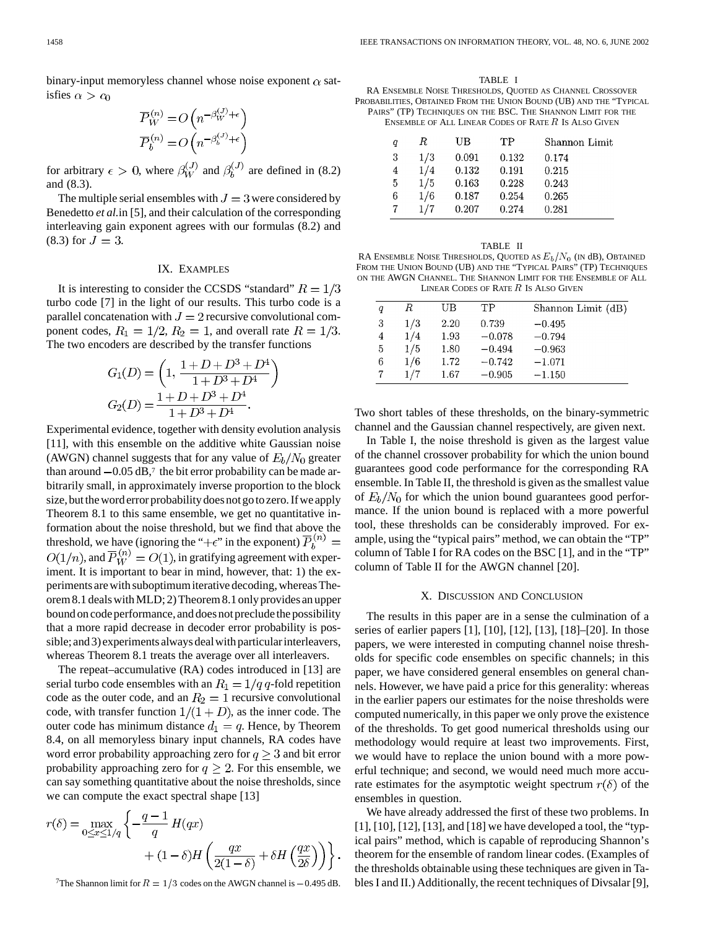binary-input memoryless channel whose noise exponent  $\alpha$  satisfies  $\alpha > c_0$ 

$$
\overline{P}_{W}^{(n)} = O\left(n^{-\beta_{W}^{(J)} + \epsilon}\right)
$$
\n
$$
\overline{P}_{b}^{(n)} = O\left(n^{-\beta_{b}^{(J)} + \epsilon}\right)
$$

for arbitrary  $\epsilon > 0$ , where  $\beta_W^{(J)}$  and  $\beta_h^{(J)}$  are defined in (8.2) and (8.3).

The multiple serial ensembles with  $J = 3$  were considered by Benedetto *et al.*in [5], and their calculation of the corresponding interleaving gain exponent agrees with our formulas (8.2) and  $(8.3)$  for  $J = 3$ .

# IX. EXAMPLES

It is interesting to consider the CCSDS "standard"  $R = 1/3$ turbo code [7] in the light of our results. This turbo code is a parallel concatenation with  $J = 2$  recursive convolutional component codes,  $R_1 = 1/2$ ,  $R_2 = 1$ , and overall rate  $R = 1/3$ . The two encoders are described by the transfer functions

$$
G_1(D) = \left(1, \frac{1+D+D^3+D^4}{1+D^3+D^4}\right)
$$
  
\n
$$
G_2(D) = \frac{1+D+D^3+D^4}{1+D^3+D^4}.
$$

Experimental evidence, together with density evolution analysis [11], with this ensemble on the additive white Gaussian noise (AWGN) channel suggests that for any value of  $E_b/N_0$  greater than around  $-0.05$  dB,<sup>7</sup> the bit error probability can be made arbitrarily small, in approximately inverse proportion to the block size, but the word error probability does not go to zero. If we apply Theorem 8.1 to this same ensemble, we get no quantitative information about the noise threshold, but we find that above the threshold, we have (ignoring the "+ $\epsilon$ " in the exponent)  $\overline{P}_h^{(n)} =$  $O(1/n)$ , and  $\overline{P}_W^{(n)} = O(1)$ , in gratifying agreement with experiment. It is important to bear in mind, however, that: 1) the experiments are with suboptimum iterative decoding, whereas Theorem 8.1 deals with MLD; 2) Theorem 8.1 only provides an upper bound on code performance, and does not preclude the possibility that a more rapid decrease in decoder error probability is possible; and 3) experiments always deal with particular interleavers, whereas Theorem 8.1 treats the average over all interleavers.

The repeat–accumulative (RA) codes introduced in [13] are serial turbo code ensembles with an  $R_1 = 1/q q$ -fold repetition code as the outer code, and an  $R_2 = 1$  recursive convolutional code, with transfer function  $1/(1+D)$ , as the inner code. The outer code has minimum distance  $d_1 = q$ . Hence, by Theorem 8.4, on all memoryless binary input channels, RA codes have word error probability approaching zero for  $q \geq 3$  and bit error probability approaching zero for  $q \geq 2$ . For this ensemble, we can say something quantitative about the noise thresholds, since we can compute the exact spectral shape [13]

$$
r(\delta) = \max_{0 \le x \le 1/q} \left\{ -\frac{q-1}{q} H(qx) + (1-\delta)H\left(\frac{qx}{2(1-\delta)} + \delta H\left(\frac{qx}{2\delta}\right)\right) \right\}.
$$

<sup>7</sup>The Shannon limit for  $R = 1/3$  codes on the AWGN channel is  $-0.495$  dB.

TABLE I RA ENSEMBLE NOISE THRESHOLDS, QUOTED AS CHANNEL CROSSOVER PROBABILITIES, OBTAINED FROM THE UNION BOUND (UB) AND THE "TYPICAL PAIRS" (TP) TECHNIQUES ON THE BSC. THE SHANNON LIMIT FOR THE ENSEMBLE OF ALL LINEAR CODES OF RATE R IS ALSO GIVEN

| q | R.  | UВ    | TР    | Shannon Limit |
|---|-----|-------|-------|---------------|
| 3 | 1/3 | 0.091 | 0.132 | 0.174         |
| 4 | 1/4 | 0.132 | 0.191 | 0.215         |
| 5 | 1/5 | 0.163 | 0.228 | 0.243         |
| 6 | 1/6 | 0.187 | 0.254 | 0.265         |
|   | 1/7 | 0.207 | 0.274 | 0.281         |
|   |     |       |       |               |

| q | R   | UΒ   | TР       | Shannon Limit (dB) |
|---|-----|------|----------|--------------------|
| 3 | 1/3 | 2.20 | 0.739    | $-0.495$           |
| 4 | 1/4 | 1.93 | $-0.078$ | $-0.794$           |
| 5 | 1/5 | 1.80 | $-0.494$ | $-0.963$           |
| 6 | 1/6 | 1.72 | $-0.742$ | $-1.071$           |
|   | 1/7 | 1.67 | $-0.905$ | $-1.150$           |

Two short tables of these thresholds, on the binary-symmetric channel and the Gaussian channel respectively, are given next.

In Table I, the noise threshold is given as the largest value of the channel crossover probability for which the union bound guarantees good code performance for the corresponding RA ensemble. In Table II, the threshold is given as the smallest value of  $E_b/N_0$  for which the union bound guarantees good performance. If the union bound is replaced with a more powerful tool, these thresholds can be considerably improved. For example, using the "typical pairs" method, we can obtain the "TP" column of Table I for RA codes on the BSC [1], and in the "TP" column of Table II for the AWGN channel [20].

#### X. DISCUSSION AND CONCLUSION

The results in this paper are in a sense the culmination of a series of earlier papers [1], [10], [12], [13], [18]–[20]. In those papers, we were interested in computing channel noise thresholds for specific code ensembles on specific channels; in this paper, we have considered general ensembles on general channels. However, we have paid a price for this generality: whereas in the earlier papers our estimates for the noise thresholds were computed numerically, in this paper we only prove the existence of the thresholds. To get good numerical thresholds using our methodology would require at least two improvements. First, we would have to replace the union bound with a more powerful technique; and second, we would need much more accurate estimates for the asymptotic weight spectrum  $r(\delta)$  of the ensembles in question.

We have already addressed the first of these two problems. In [1], [10], [12], [13], and [18] we have developed a tool, the "typical pairs" method, which is capable of reproducing Shannon's theorem for the ensemble of random linear codes. (Examples of the thresholds obtainable using these techniques are given in Tables I and II.) Additionally, the recent techniques of Divsalar [9],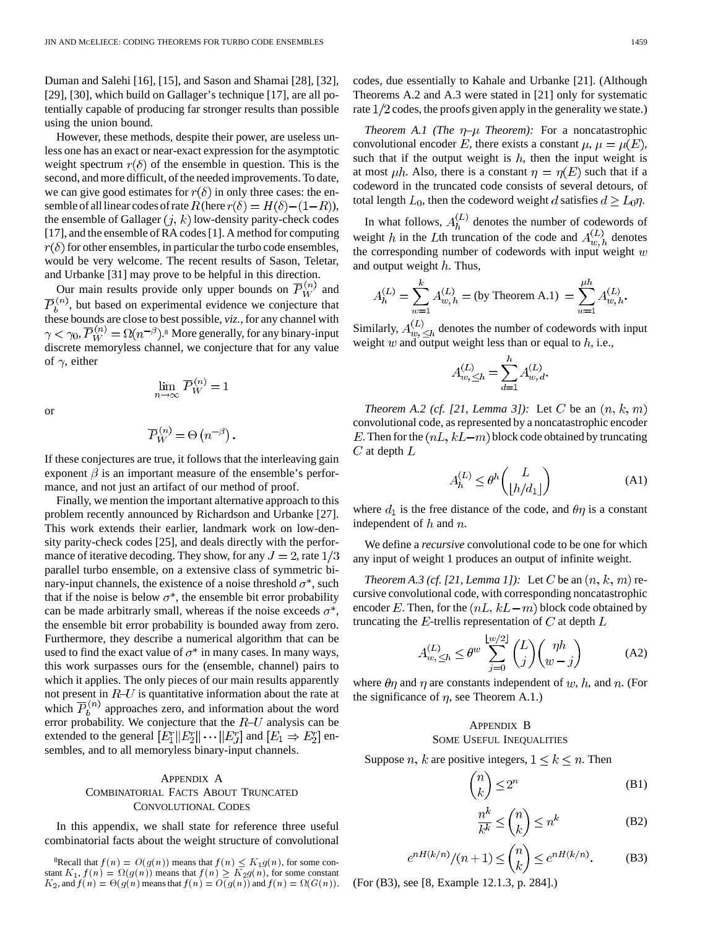Duman and Salehi [16], [15], and Sason and Shamai [28], [32], [29], [30], which build on Gallager's technique [17], are all potentially capable of producing far stronger results than possible using the union bound.

However, these methods, despite their power, are useless unless one has an exact or near-exact expression for the asymptotic weight spectrum  $r(\delta)$  of the ensemble in question. This is the second, and more difficult, of the needed improvements. To date, we can give good estimates for  $r(\delta)$  in only three cases: the ensemble of all linear codes of rate  $R$  (here  $r(\delta) = H(\delta) - (1 - R)$ ), the ensemble of Gallager  $(j, k)$  low-density parity-check codes [17], and the ensemble of RA codes [1]. A method for computing  $r(\delta)$  for other ensembles, in particular the turbo code ensembles, would be very welcome. The recent results of Sason, Teletar, and Urbanke [31] may prove to be helpful in this direction.

Our main results provide only upper bounds on  $\overline{P}_W^{(n)}$  and , but based on experimental evidence we conjecture that these bounds are close to best possible, *viz.*, for any channel with  $\gamma < \gamma_0$ ,  $\overline{P}_W^{(n)} = \Omega(n^{-\beta})$ .<sup>8</sup> More generally, for any binary-input discrete memoryless channel, we conjecture that for any value of  $\gamma$ , either

or

$$
\overline{P}_W^{(n)} = \Theta\left(n^{-\beta}\right).
$$

 $\lim_{n\to\infty}\overline{P}_W^{(n)}=1$ 

If these conjectures are true, it follows that the interleaving gain exponent  $\beta$  is an important measure of the ensemble's performance, and not just an artifact of our method of proof.

Finally, we mention the important alternative approach to this problem recently announced by Richardson and Urbanke [27]. This work extends their earlier, landmark work on low-density parity-check codes [25], and deals directly with the performance of iterative decoding. They show, for any  $J = 2$ , rate  $1/3$ parallel turbo ensemble, on a extensive class of symmetric binary-input channels, the existence of a noise threshold  $\sigma^*$ , such that if the noise is below  $\sigma^*$ , the ensemble bit error probability can be made arbitrarly small, whereas if the noise exceeds  $\sigma^*$ , the ensemble bit error probability is bounded away from zero. Furthermore, they describe a numerical algorithm that can be used to find the exact value of  $\sigma^*$  in many cases. In many ways, this work surpasses ours for the (ensemble, channel) pairs to which it applies. The only pieces of our main results apparently not present in  $R-U$  is quantitative information about the rate at which  $\overline{P}_b^{(n)}$  approaches zero, and information about the word error probability. We conjecture that the  $R$ -U analysis can be extended to the general  $[E_1^r || E_2^r || \cdots || E_J^r]$  and  $[E_1 \Rightarrow E_2^r]$  ensembles, and to all memoryless binary-input channels.

# APPENDIX A COMBINATORIAL FACTS ABOUT TRUNCATED CONVOLUTIONAL CODES

In this appendix, we shall state for reference three useful combinatorial facts about the weight structure of convolutional codes, due essentially to Kahale and Urbanke [21]. (Although Theorems A.2 and A.3 were stated in [21] only for systematic rate  $1/2$  codes, the proofs given apply in the generality we state.)

*Theorem A.1 (The*  $\eta$ *-* $\mu$  *Theorem):* For a noncatastrophic convolutional encoder E, there exists a constant  $\mu$ ,  $\mu = \mu(E)$ , such that if the output weight is  $h$ , then the input weight is at most  $\mu h$ . Also, there is a constant  $\eta = \eta(E)$  such that if a codeword in the truncated code consists of several detours, of total length  $L_0$ , then the codeword weight d satisfies  $d \ge L_0 \eta$ .

In what follows,  $A_h^{(L)}$  denotes the number of codewords of weight h in the Lth truncation of the code and  $A_{w,h}^{(L)}$  denotes the corresponding number of codewords with input weight  $w$ and output weight  $h$ . Thus,

$$
A_h^{(L)} = \sum_{w=1}^k A_{w,h}^{(L)} = \text{(by Theorem A.1)} = \sum_{w=1}^{\mu h} A_{w,h}^{(L)}.
$$

Similarly,  $A_{n}^{(L)}$  denotes the number of codewords with input weight w and output weight less than or equal to  $h$ , i.e.,

$$
A_{w,\leq h}^{(L)} = \sum_{d=1}^{h} A_{w,d}^{(L)}.
$$

*Theorem A.2 (cf. [21, Lemma 3]):* Let C be an  $(n, k, m)$ convolutional code, as represented by a noncatastrophic encoder E. Then for the  $(nL, kL-m)$  block code obtained by truncating  $C$  at depth  $L$ 

$$
A_h^{(L)} \le \theta^h \binom{L}{\lfloor h/d_1 \rfloor} \tag{A1}
$$

where  $d_1$  is the free distance of the code, and  $\theta\eta$  is a constant independent of  $h$  and  $n$ .

We define a *recursive* convolutional code to be one for which any input of weight 1 produces an output of infinite weight.

*Theorem A.3 (cf. [21, Lemma 1]):* Let C be an  $(n, k, m)$  recursive convolutional code, with corresponding noncatastrophic encoder E. Then, for the  $(nL, kL-m)$  block code obtained by truncating the E-trellis representation of C at depth  $L$ 

$$
A_{w,\leq h}^{(L)} \leq \theta^w \sum_{j=0}^{\lfloor w/2 \rfloor} {L \choose j} { \eta h \choose w-j}
$$
 (A2)

where  $\theta\eta$  and  $\eta$  are constants independent of w, h, and n. (For the significance of  $\eta$ , see Theorem A.1.)

# APPENDIX B

# SOME USEFUL INEQUALITIES

Suppose *n*, *k* are positive integers,  $1 \leq k \leq n$ . Then

$$
\binom{n}{k} \le 2^n \tag{B1}
$$

$$
\frac{n^k}{k^k} \le \binom{n}{k} \le n^k \tag{B2}
$$

$$
e^{nH(k/n)}/(n+1) \leq {n \choose k} \leq e^{nH(k/n)}.
$$
 (B3)

(For (B3), see [8, Example 12.1.3, p. 284].)

<sup>&</sup>lt;sup>8</sup>Recall that  $f(n) = O(g(n))$  means that  $f(n) \leq K_1 g(n)$ , for some constant  $K_1$ ,  $f(n) = \Omega(g(n))$  means that  $f(n) \geq K_2g(n)$ , for some constant  $K_2$ , and  $f(n) = \Theta(g(n)$  means that  $f(n) = O(g(n))$  and  $f(n) = \Omega(G(n))$ .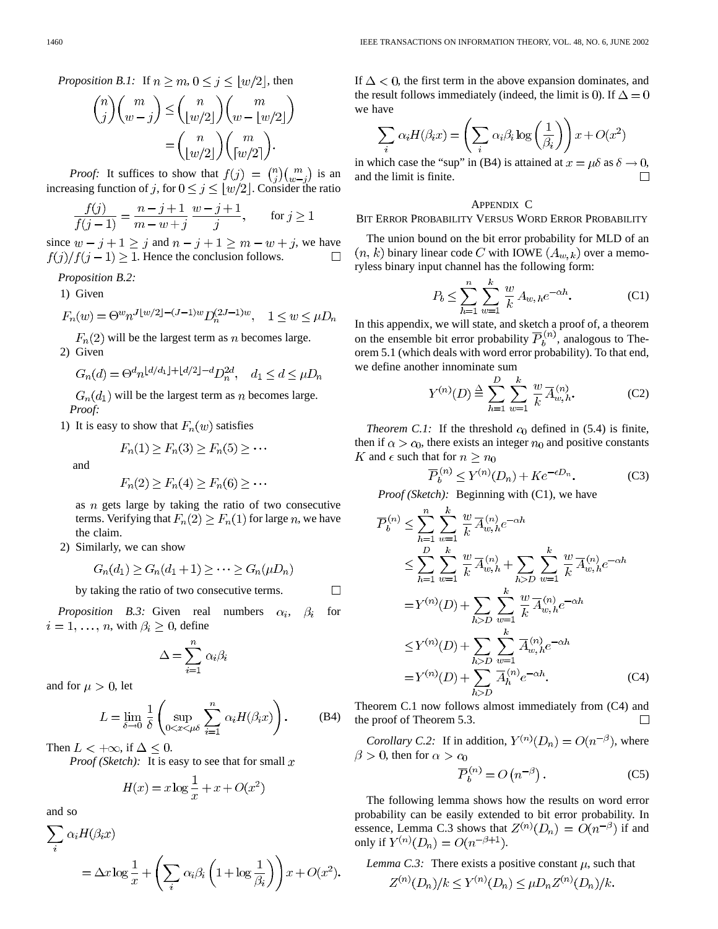*Proposition B.1:* If 
$$
n \ge m, 0 \le j \le \lfloor w/2 \rfloor
$$
, then

$$
\binom{n}{j}\binom{m}{w-j} \leq \binom{n}{\lfloor w/2 \rfloor}\binom{m}{w - \lfloor w/2 \rfloor} = \binom{n}{\lfloor w/2 \rfloor}\binom{m}{\lceil w/2 \rceil}.
$$

*Proof:* It suffices to show that  $f(j) = \binom{n}{i} \binom{m}{w-j}$  is an increasing function of j, for  $0 \le j \le |w/2|$ . Consider the ratio

$$
\frac{f(j)}{f(j-1)} = \frac{n-j+1}{m-w+j} \frac{w-j+1}{j}, \quad \text{for } j \ge 1
$$

since  $w - j + 1 \ge j$  and  $n - j + 1 \ge m - w + j$ , we have  $f(j)/f(j-1) \geq 1$ . Hence the conclusion follows.

*Proposition B.2:*

1) Given

$$
F_n(w) = \Theta^w n^{J \lfloor w/2 \rfloor - (J-1)w} D_n^{(2J-1)w}, \quad 1 \le w \le \mu D_n
$$

 $F_n(2)$  will be the largest term as *n* becomes large. 2) Given

$$
G_n(d) = \Theta^d n^{\lfloor d/d_1 \rfloor + \lfloor d/2 \rfloor - d} D_n^{2d}, \quad d_1 \le d \le \mu D_n
$$

 $G_n(d_1)$  will be the largest term as *n* becomes large. *Proof:*

1) It is easy to show that  $F_n(w)$  satisfies

$$
F_n(1) \ge F_n(3) \ge F_n(5) \ge \cdots
$$

and

$$
F_n(2) \ge F_n(4) \ge F_n(6) \ge \cdots
$$

as  $n$  gets large by taking the ratio of two consecutive terms. Verifying that  $F_n(2) \ge F_n(1)$  for large n, we have the claim.

2) Similarly, we can show

$$
G_n(d_1) \ge G_n(d_1 + 1) \ge \cdots \ge G_n(\mu D_n)
$$

by taking the ratio of two consecutive terms.

*Proposition B.3:* Given real numbers  $\alpha_i$ ,  $\beta_i$  for  $i = 1, \ldots, n$ , with  $\beta_i \geq 0$ , define

$$
\Delta = \sum_{i=1}^{n} \alpha_i \beta_i
$$

and for  $\mu > 0$ , let

$$
L = \lim_{\delta \to 0} \frac{1}{\delta} \left( \sup_{0 < x < \mu\delta} \sum_{i=1}^n \alpha_i H(\beta_i x) \right). \tag{B4}
$$

 $\Box$ 

Then  $L < +\infty$ , if  $\Delta \leq 0$ .

*Proof (Sketch)*: It is easy to see that for small  $x$ 

$$
H(x) = x \log \frac{1}{x} + x + O(x^2)
$$

and so

$$
\sum_{i} \alpha_{i} H(\beta_{i} x)
$$
  
=  $\Delta x \log \frac{1}{x} + \left( \sum_{i} \alpha_{i} \beta_{i} \left( 1 + \log \frac{1}{\beta_{i}} \right) \right) x + O(x^{2}).$ 

If  $\Delta$  < 0, the first term in the above expansion dominates, and the result follows immediately (indeed, the limit is 0). If  $\Delta = 0$ we have

$$
\sum_{i} \alpha_{i} H(\beta_{i} x) = \left(\sum_{i} \alpha_{i} \beta_{i} \log\left(\frac{1}{\beta_{i}}\right)\right) x + O(x^{2})
$$

in which case the "sup" in (B4) is attained at  $x = \mu \delta$  as  $\delta \rightarrow 0$ , and the limit is finite.  $\Box$ 

### APPENDIX C

#### BIT ERROR PROBABILITY VERSUS WORD ERROR PROBABILITY

The union bound on the bit error probability for MLD of an  $(n, k)$  binary linear code C with IOWE  $(A_{w,k})$  over a memoryless binary input channel has the following form:

$$
P_b \le \sum_{h=1}^n \sum_{w=1}^k \frac{w}{k} A_{w, h} e^{-\alpha h}.
$$
 (C1)

In this appendix, we will state, and sketch a proof of, a theorem on the ensemble bit error probability  $\overline{P}_b^{(n)}$ , analogous to Theorem 5.1 (which deals with word error probability). To that end, we define another innominate sum

$$
Y^{(n)}(D) \stackrel{\Delta}{=} \sum_{h=1}^{D} \sum_{w=1}^{k} \frac{w}{k} \overline{A}_{w,h}^{(n)}.
$$
 (C2)

*Theorem C.1:* If the threshold  $c_0$  defined in (5.4) is finite, then if  $\alpha > c_0$ , there exists an integer  $n_0$  and positive constants K and  $\epsilon$  such that for  $n \geq n_0$ 

$$
\overline{P}_b^{(n)} \le Y^{(n)}(D_n) + Ke^{-\epsilon D_n}.
$$
 (C3)

*Proof (Sketch):* Beginning with (C1), we have

$$
\overline{P}_{b}^{(n)} \leq \sum_{h=1}^{n} \sum_{w=1}^{k} \frac{w}{k} \overline{A}_{w,h}^{(n)} e^{-\alpha h}
$$
\n
$$
\leq \sum_{h=1}^{D} \sum_{w=1}^{k} \frac{w}{k} \overline{A}_{w,h}^{(n)} + \sum_{h>D} \sum_{w=1}^{k} \frac{w}{k} \overline{A}_{w,h}^{(n)} e^{-\alpha h}
$$
\n
$$
= Y^{(n)}(D) + \sum_{h>D} \sum_{w=1}^{k} \frac{w}{k} \overline{A}_{w,h}^{(n)} e^{-\alpha h}
$$
\n
$$
\leq Y^{(n)}(D) + \sum_{h>D} \sum_{w=1}^{k} \overline{A}_{w,h}^{(n)} e^{-\alpha h}
$$
\n
$$
= Y^{(n)}(D) + \sum_{h>D} \overline{A}_{h}^{(n)} e^{-\alpha h}. \tag{C4}
$$

Theorem C.1 now follows almost immediately from (C4) and the proof of Theorem 5.3.  $\Box$ 

*Corollary C.2:* If in addition,  $Y^{(n)}(D_n) = O(n^{-\beta})$ , where  $\beta > 0$ , then for  $\alpha > c_0$ 

$$
\overline{P}_b^{(n)} = O\left(n^{-\beta}\right). \tag{C5}
$$

The following lemma shows how the results on word error probability can be easily extended to bit error probability. In essence, Lemma C.3 shows that  $Z^{(n)}(D_n) = O(n^{-\beta})$  if and only if  $Y^{(n)}(D_n) = O(n^{-\beta+1}).$ 

*Lemma C.3:* There exists a positive constant  $\mu$ , such that  $Z^{(n)}(D_n)/k \leq Y^{(n)}(D_n) \leq \mu D_n Z^{(n)}(D_n)/k.$